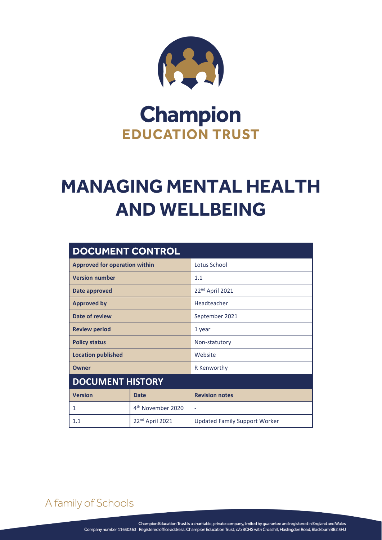

## **Champion EDUCATION TRUST**

# **MANAGING MENTAL HEALTH AND WELLBEING**

| <b>DOCUMENT CONTROL</b>              |                               |                                      |
|--------------------------------------|-------------------------------|--------------------------------------|
| <b>Approved for operation within</b> |                               | Lotus School                         |
| <b>Version number</b>                |                               | 1.1                                  |
| Date approved                        |                               | 22 <sup>nd</sup> April 2021          |
| <b>Approved by</b>                   |                               | Headteacher                          |
| Date of review                       |                               | September 2021                       |
| <b>Review period</b>                 |                               | 1 year                               |
| <b>Policy status</b>                 |                               | Non-statutory                        |
| <b>Location published</b>            |                               | Website                              |
| <b>Owner</b>                         |                               | R Kenworthy                          |
| <b>DOCUMENT HISTORY</b>              |                               |                                      |
| <b>Version</b>                       | <b>Date</b>                   | <b>Revision notes</b>                |
| 1                                    | 4 <sup>th</sup> November 2020 | ۰                                    |
| 1.1                                  | 22 <sup>nd</sup> April 2021   | <b>Updated Family Support Worker</b> |

A family of Schools

MANAGING MENTAL HEALTH AND WELLBEING Page **0** of **3**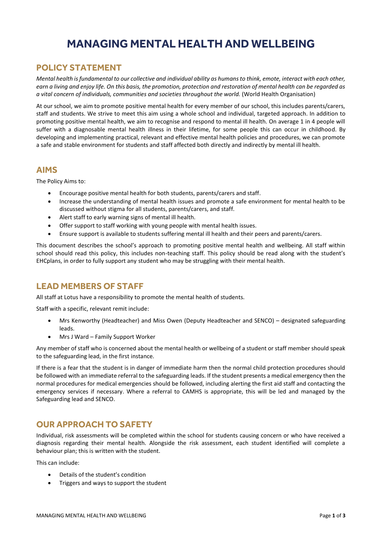### **MANAGING MENTAL HEALTH AND WELLBEING**

#### **POLICY STATEMENT**

*Mental health is fundamental to our collective and individual ability as humans to think, emote, interact with each other, earn a living and enjoy life. On this basis, the promotion, protection and restoration of mental health can be regarded as a vital concern of individuals, communities and societies throughout the world.* (World Health Organisation)

At our school, we aim to promote positive mental health for every member of our school, this includes parents/carers, staff and students. We strive to meet this aim using a whole school and individual, targeted approach. In addition to promoting positive mental health, we aim to recognise and respond to mental ill health. On average 1 in 4 people will suffer with a diagnosable mental health illness in their lifetime, for some people this can occur in childhood. By developing and implementing practical, relevant and effective mental health policies and procedures, we can promote a safe and stable environment for students and staff affected both directly and indirectly by mental ill health.

#### **AIMS**

The Policy Aims to:

- Encourage positive mental health for both students, parents/carers and staff.
- Increase the understanding of mental health issues and promote a safe environment for mental health to be discussed without stigma for all students, parents/carers, and staff.
- Alert staff to early warning signs of mental ill health.
- Offer support to staff working with young people with mental health issues.
- Ensure support is available to students suffering mental ill health and their peers and parents/carers.

This document describes the school's approach to promoting positive mental health and wellbeing. All staff within school should read this policy, this includes non-teaching staff. This policy should be read along with the student's EHCplans, in order to fully support any student who may be struggling with their mental health.

#### **LEAD MEMBERS OF STAFF**

All staff at Lotus have a responsibility to promote the mental health of students.

Staff with a specific, relevant remit include:

- Mrs Kenworthy (Headteacher) and Miss Owen (Deputy Headteacher and SENCO) designated safeguarding leads.
- Mrs J Ward Family Support Worker

Any member of staff who is concerned about the mental health or wellbeing of a student or staff member should speak to the safeguarding lead, in the first instance.

If there is a fear that the student is in danger of immediate harm then the normal child protection procedures should be followed with an immediate referral to the safeguarding leads. If the student presents a medical emergency then the normal procedures for medical emergencies should be followed, including alerting the first aid staff and contacting the emergency services if necessary. Where a referral to CAMHS is appropriate, this will be led and managed by the Safeguarding lead and SENCO.

#### **OUR APPROACH TO SAFETY**

Individual, risk assessments will be completed within the school for students causing concern or who have received a diagnosis regarding their mental health. Alongside the risk assessment, each student identified will complete a behaviour plan; this is written with the student.

This can include:

- Details of the student's condition
- Triggers and ways to support the student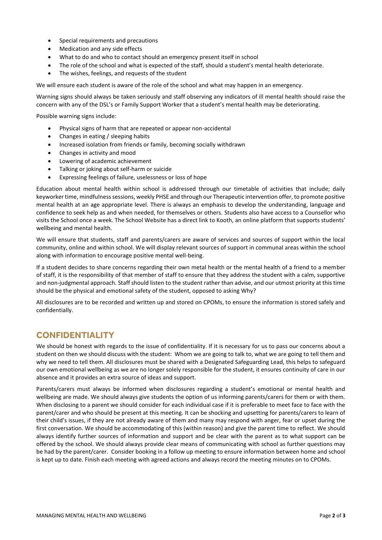- Special requirements and precautions
- Medication and any side effects
- What to do and who to contact should an emergency present itself in school
- The role of the school and what is expected of the staff, should a student's mental health deteriorate.
- The wishes, feelings, and requests of the student

We will ensure each student is aware of the role of the school and what may happen in an emergency.

Warning signs should always be taken seriously and staff observing any indicators of ill mental health should raise the concern with any of the DSL's or Family Support Worker that a student's mental health may be deteriorating.

Possible warning signs include:

- Physical signs of harm that are repeated or appear non-accidental
- Changes in eating / sleeping habits
- Increased isolation from friends or family, becoming socially withdrawn
- Changes in activity and mood
- Lowering of academic achievement
- Talking or joking about self-harm or suicide
- Expressing feelings of failure, uselessness or loss of hope

Education about mental health within school is addressed through our timetable of activities that include; daily keyworker time, mindfulness sessions, weekly PHSE and through our Therapeutic intervention offer, to promote positive mental health at an age appropriate level. There is always an emphasis to develop the understanding, language and confidence to seek help as and when needed, for themselves or others. Students also have access to a Counsellor who visits the School once a week. The School Website has a direct link to Kooth, an online platform that supports students' wellbeing and mental health.

We will ensure that students, staff and parents/carers are aware of services and sources of support within the local community, online and within school. We will display relevant sources of support in communal areas within the school along with information to encourage positive mental well-being.

If a student decides to share concerns regarding their own metal health or the mental health of a friend to a member of staff, it is the responsibility of that member of staff to ensure that they address the student with a calm, supportive and non-judgmental approach. Staff should listen to the student rather than advise, and our utmost priority at this time should be the physical and emotional safety of the student, opposed to asking Why?

All disclosures are to be recorded and written up and stored on CPOMs, to ensure the information is stored safely and confidentially.

#### **CONFIDENTIALITY**

We should be honest with regards to the issue of confidentiality. If it is necessary for us to pass our concerns about a student on then we should discuss with the student: Whom we are going to talk to, what we are going to tell them and why we need to tell them. All disclosures must be shared with a Designated Safeguarding Lead, this helps to safeguard our own emotional wellbeing as we are no longer solely responsible for the student, it ensures continuity of care in our absence and it provides an extra source of ideas and support.

Parents/carers must always be informed when disclosures regarding a student's emotional or mental health and wellbeing are made. We should always give students the option of us informing parents/carers for them or with them. When disclosing to a parent we should consider for each individual case if it is preferable to meet face to face with the parent/carer and who should be present at this meeting. It can be shocking and upsetting for parents/carers to learn of their child's issues, if they are not already aware of them and many may respond with anger, fear or upset during the first conversation. We should be accommodating of this (within reason) and give the parent time to reflect. We should always identify further sources of information and support and be clear with the parent as to what support can be offered by the school. We should always provide clear means of communicating with school as further questions may be had by the parent/carer. Consider booking in a follow up meeting to ensure information between home and school is kept up to date. Finish each meeting with agreed actions and always record the meeting minutes on to CPOMs.